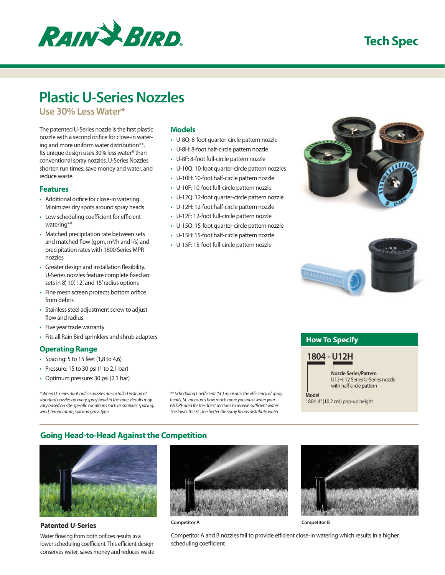

## **Tech Spec**

# **Plastic U-Series Nozzles**

**Use 30% Less Water\*** 

The patented U-Series nozzle is the first plastic nozzle with a second orifice for close-in watering and more uniform water distribution\*\*. Its unique design uses 30% less water\* than conventional spray nozzles. U-Series Nozzles shorten run times, save money and water, and reduce waste.

#### **Features**

- • Additional orifice for close-in watering. Minimizes dry spots around spray heads
- Low scheduling coefficient for efficient watering\*\*
- Matched precipitation rate between sets and matched flow (gpm,  $m^3/h$  and  $l/s$ ) and precipitation rates with 1800 Series MPR nozzles
- • Greater design and installation flexibility. U-Series nozzles feature complete fixed arc sets in 8', 10', 12', and 15' radius options
- Fine mesh screen protects bottom orifice from debris
- • Stainless steel adjustment screw to adjust flow and radius
- • Five year trade warranty
- • Fits all Rain Bird sprinklers and shrub adapters

### **Operating Range**

- • Spacing: 5 to 15 feet (1,8 to 4,6)
- • Pressure: 15 to 30 psi (1 to 2,1 bar)
- • Optimum pressure: 30 psi (2,1 bar)

*\* When U-Series dual-orifice nozzles are installed instead of standard nozzles on every spray head in the zone. Results may vary based on site-specific conditions such as sprinkler spacing, wind, temperature, soil and grass type.*

**Models**

- • U-8Q: 8-foot quarter-circle pattern nozzle
- • U-8H: 8-foot half-circle pattern nozzle
- • U-8F: 8-foot full-circle pattern nozzle
- • U-10Q: 10-foot quarter-circle pattern nozzles
- • U-10H: 10-foot half-circle pattern nozzle
- • U-10F: 10-foot full-circle pattern nozzle
- • U-12Q: 12-foot quarter-circle pattern nozzle
- • U-12H: 12-foot half-circle pattern nozzle
- • U-12F: 12-foot full-circle pattern nozzle
- • U-15Q: 15-foot quarter-circle pattern nozzle
- • U-15H: 15-foot half-circle pattern nozzle
- • U-15F: 15-foot full-circle pattern nozzle





## **How To Specify**

## **1804 - U12H**

**Nozzle Series/Pattern** U12H: 12 Series U-Series nozzle with half circle pattern

**Model** 1804: 4" (10.2 cm) pop-up height

## **Going Head-to-Head Against the Competition**



#### **Patented U-Series**

Water flowing from both orifices results in a lower scheduling coefficient. This efficient design conserves water, saves money and reduces waste



*\*\* Scheduling Coefficient (SC) measures the efficiency of spray heads. SC measures how much more you must water your ENTIRE area for the driest sections to receive sufficient water. The lower the SC, the better the spray heads distribute water.*

**Competitor A Competitor B**



Competitor A and B nozzles fail to provide efficient close-in watering which results in a higher scheduling coefficient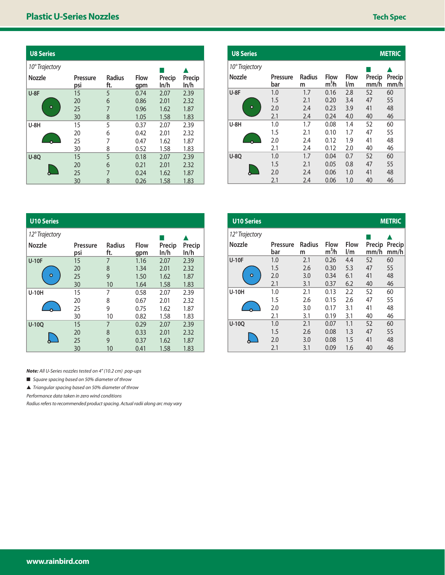| <b>U8 Series</b> |                 |                      |                    |                |                |
|------------------|-----------------|----------------------|--------------------|----------------|----------------|
| 10° Trajectory   |                 |                      |                    |                |                |
| Nozzle           | Pressure<br>psi | <b>Radius</b><br>ft. | <b>Flow</b><br>qpm | Precip<br>ln/h | Precip<br>ln/h |
| $U-8F$           | 15              | 5                    | 0.74               | 2.07           | 2.39           |
|                  | 20              | 6                    | 0.86               | 2.01           | 2.32           |
| ٠                | 25              | $\overline{7}$       | 0.96               | 1.62           | 1.87           |
|                  | 30              | 8                    | 1.05               | 1.58           | 1.83           |
| $U-8H$           | 15              | 5                    | 0.37               | 2.07           | 2.39           |
|                  | 20              | 6                    | 0.42               | 2.01           | 2.32           |
|                  | 25              | 7                    | 0.47               | 1.62           | 1.87           |
|                  | 30              | 8                    | 0.52               | 1.58           | 1.83           |
| $U-8O$           | 15              | 5                    | 0.18               | 2.07           | 2.39           |
|                  | 20              | 6                    | 0.21               | 2.01           | 2.32           |
|                  | 25              | $\overline{7}$       | 0.24               | 1.62           | 1.87           |
|                  | 30              | 8                    | 0.26               | 1.58           | 1.83           |

| <b>U8 Series</b> |                 | <b>METRIC</b>      |                                 |                                        |                |                |
|------------------|-----------------|--------------------|---------------------------------|----------------------------------------|----------------|----------------|
| 10° Trajectory   |                 |                    |                                 |                                        |                |                |
| <b>Nozzle</b>    | Pressure<br>bar | <b>Radius</b><br>m | <b>Flow</b><br>m <sup>3</sup> h | <b>Flow</b><br>$\mathsf{I}/\mathsf{m}$ | Precip<br>mm/h | Precip<br>mm/h |
| $U-8F$           | 1.0             | 1.7                | 0.16                            | 2.8                                    | 52             | 60             |
|                  | 1.5             | 2.1                | 0.20                            | 3.4                                    | 47             | 55             |
|                  | 2.0             | 2.4                | 0.23                            | 3.9                                    | 41             | 48             |
|                  | 2.1             | 2.4                | 0.24                            | 4.0                                    | 40             | 46             |
| <b>U-8H</b>      | 1.0             | 1.7                | 0.08                            | 1.4                                    | 52             | 60             |
|                  | 1.5             | 2.1                | 0.10                            | 1.7                                    | 47             | 55             |
|                  | 2.0             | 2.4                | 0.12                            | 1.9                                    | 41             | 48             |
|                  | 2.1             | 2.4                | 0.12                            | 2.0                                    | 40             | 46             |
| <b>U-80</b>      | 1.0             | 1.7                | 0.04                            | 0.7                                    | 52             | 60             |
|                  | 1.5             | 2.1                | 0.05                            | 0.8                                    | 47             | 55             |
|                  | 2.0             | 2.4                | 0.06                            | 1.0                                    | 41             | 48             |
|                  | 2.1             | 2.4                | 0.06                            | 1.0                                    | 40             | 46             |

| <b>U10 Series</b> |                 |                      |                    |                |                |
|-------------------|-----------------|----------------------|--------------------|----------------|----------------|
| 12° Trajectory    |                 |                      |                    |                |                |
| <b>Nozzle</b>     | Pressure<br>psi | <b>Radius</b><br>ft. | <b>Flow</b><br>gpm | Precip<br>ln/h | Precip<br>ln/h |
| <b>U-10F</b>      | 15              | 7                    | 1.16               | 2.07           | 2.39           |
|                   | 20              | 8                    | 1.34               | 2.01           | 2.32           |
| o                 | 25              | 9                    | 1.50               | 1.62           | 1.87           |
|                   | 30              | 10                   | 1.64               | 1.58           | 1.83           |
| <b>U-10H</b>      | 15              | 7                    | 0.58               | 2.07           | 2.39           |
|                   | 20              | 8                    | 0.67               | 2.01           | 2.32           |
|                   | 25              | 9                    | 0.75               | 1.62           | 1.87           |
|                   | 30              | 10                   | 0.82               | 1.58           | 1.83           |
| $U-100$           | 15              | 7                    | 0.29               | 2.07           | 2.39           |
|                   | 20              | 8                    | 0.33               | 2.01           | 2.32           |
|                   | 25              | 9                    | 0.37               | 1.62           | 1.87           |
|                   | 30              | 10                   | 0.41               | 1.58           | 1.83           |

| <b>U10 Series</b> |                 | <b>METRIC</b>      |                          |                    |                |                |
|-------------------|-----------------|--------------------|--------------------------|--------------------|----------------|----------------|
| 12° Trajectory    |                 |                    |                          |                    |                |                |
| <b>Nozzle</b>     | Pressure<br>bar | <b>Radius</b><br>m | Flow<br>m <sup>3</sup> h | <b>Flow</b><br>l/m | Precip<br>mm/h | Precip<br>mm/h |
| <b>U-10F</b>      | 1.0             | 2.1                | 0.26                     | 4.4                | 52             | 60             |
|                   | 1.5             | 2.6                | 0.30                     | 5.3                | 47             | 55             |
| Ο                 | 2.0             | 3.0                | 0.34                     | 6.1                | 41             | 48             |
|                   | 2.1             | 3.1                | 0.37                     | 6.2                | 40             | 46             |
| <b>U-10H</b>      | 1.0             | 2.1                | 0.13                     | 2.2                | 52             | 60             |
|                   | 1.5             | 2.6                | 0.15                     | 2.6                | 47             | 55             |
|                   | 2.0             | 3.0                | 0.17                     | 3.1                | 41             | 48             |
|                   | 2.1             | 3.1                | 0.19                     | 3.1                | 40             | 46             |
| $U-100$           | 1.0             | 2.1                | 0.07                     | 1.1                | 52             | 60             |
|                   | 1.5             | 2.6                | 0.08                     | 1.3                | 47             | 55             |
|                   | 2.0             | 3.0                | 0.08                     | 1.5                | 41             | 48             |
|                   | 2.1             | 3.1                | 0.09                     | 1.6                | 40             | 46             |

*Note: All U-Series nozzles tested on 4" (10.2 cm) pop-ups*

■ *Square spacing based on 50% diameter of throw*

▲ *Triangular spacing based on 50% diameter of throw*

*Performance data taken in zero wind conditions*

*Radius refers to recommended product spacing. Actual radii along arc may vary*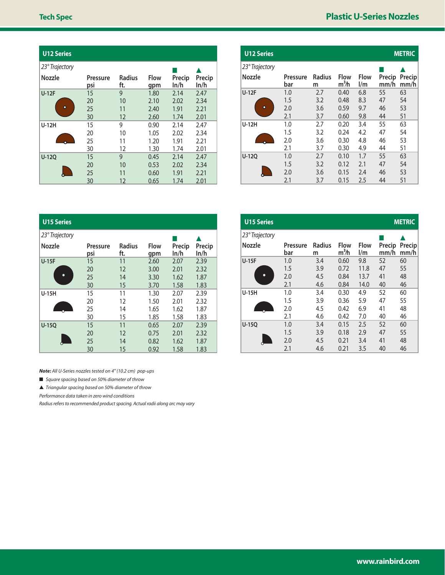| <b>U12 Series</b> |                 |                      |                    |                |                |
|-------------------|-----------------|----------------------|--------------------|----------------|----------------|
| 23° Trajectory    |                 |                      |                    |                |                |
| Nozzle            | Pressure<br>psi | <b>Radius</b><br>ft. | <b>Flow</b><br>qpm | Precip<br>ln/h | Precip<br>ln/h |
| <b>U-12F</b>      | 15              | 9                    | 1.80               | 2.14           | 2.47           |
|                   | 20              | 10                   | 2.10               | 2.02           | 2.34           |
| ٠                 | 25              | 11                   | 2.40               | 1.91           | 2.21           |
|                   | 30              | 12                   | 2.60               | 1.74           | 2.01           |
| <b>U-12H</b>      | 15              | 9                    | 0.90               | 2.14           | 2.47           |
|                   | 20              | 10                   | 1.05               | 2.02           | 2.34           |
|                   | 25              | 11                   | 1.20               | 1.91           | 2.21           |
|                   | 30              | 12                   | 1.30               | 1.74           | 2.01           |
| <b>U-12Q</b>      | 15              | 9                    | 0.45               | 2.14           | 2.47           |
|                   | 20              | 10                   | 0.53               | 2.02           | 2.34           |
|                   | 25              | 11                   | 0.60               | 1.91           | 2.21           |
|                   | 30              | 12                   | 0.65               | 1.74           | 2.01           |

| <b>U12 Series</b> |                 |                    |                                  |                                        |                | <b>METRIC</b>  |  |  |
|-------------------|-----------------|--------------------|----------------------------------|----------------------------------------|----------------|----------------|--|--|
| 23° Trajectory    |                 |                    |                                  |                                        |                |                |  |  |
| Nozzle            | Pressure<br>bar | <b>Radius</b><br>m | <b>Flow</b><br>m <sup>3</sup> /h | <b>Flow</b><br>$\mathsf{I}/\mathsf{m}$ | Precip<br>mm/h | Precip<br>mm/h |  |  |
| <b>U-12F</b>      | 1.0             | 2.7                | 0.40                             | 6.8                                    | 55             | 63             |  |  |
|                   | 1.5             | 3.2                | 0.48                             | 8.3                                    | 47             | 54             |  |  |
| $\bullet$         | 2.0             | 3.6                | 0.59                             | 9.7                                    | 46             | 53             |  |  |
|                   | 2.1             | 3.7                | 0.60                             | 9.8                                    | 44             | 51             |  |  |
| <b>U-12H</b>      | 1.0             | 2.7                | 0.20                             | 3.4                                    | 55             | 63             |  |  |
|                   | 1.5             | 3.2                | 0.24                             | 4.2                                    | 47             | 54             |  |  |
|                   | 2.0             | 3.6                | 0.30                             | 4.8                                    | 46             | 53             |  |  |
|                   | 2.1             | 3.7                | 0.30                             | 4.9                                    | 44             | 51             |  |  |
| $U-120$           | 1.0             | 2.7                | 0.10                             | 1.7                                    | 55             | 63             |  |  |
|                   | 1.5             | 3.2                | 0.12                             | 2.1                                    | 47             | 54             |  |  |
|                   | 2.0             | 3.6                | 0.15                             | 2.4                                    | 46             | 53             |  |  |
|                   | 2.1             | 3.7                | 0.15                             | 2.5                                    | 44             | 51             |  |  |

| <b>U15 Series</b> |                 |                      |                    |                |                |
|-------------------|-----------------|----------------------|--------------------|----------------|----------------|
| 23° Trajectory    |                 |                      |                    |                |                |
| Nozzle            | Pressure<br>psi | <b>Radius</b><br>ft. | <b>Flow</b><br>gpm | Precip<br>ln/h | Precip<br>ln/h |
| $U-15F$           | 15              | 11                   | 2.60               | 2.07           | 2.39           |
|                   | 20              | 12                   | 3.00               | 2.01           | 2.32           |
| ●                 | 25              | 14                   | 3.30               | 1.62           | 1.87           |
|                   | 30              | 15                   | 3.70               | 1.58           | 1.83           |
| $U-15H$           | 15              | 11                   | 1.30               | 2.07           | 2.39           |
|                   | 20              | 12                   | 1.50               | 2.01           | 2.32           |
|                   | 25              | 14                   | 1.65               | 1.62           | 1.87           |
|                   | 30              | 15                   | 1.85               | 1.58           | 1.83           |
| $U-150$           | 15              | 11                   | 0.65               | 2.07           | 2.39           |
|                   | 20              | 12                   | 0.75               | 2.01           | 2.32           |
|                   | 25              | 14                   | 0.82               | 1.62           | 1.87           |
|                   | 30              | 15                   | 0.92               | 1.58           | 1.83           |

*Note: All U-Series nozzles tested on 4" (10.2 cm) pop-ups*

■ *Square spacing based on 50% diameter of throw*

▲ *Triangular spacing based on 50% diameter of throw*

*Performance data taken in zero wind conditions*

*Radius refers to recommended product spacing. Actual radii along arc may vary*

| <b>U15 Series</b> |                 |                    |                                  |                                        |                | <b>METRIC</b>  |
|-------------------|-----------------|--------------------|----------------------------------|----------------------------------------|----------------|----------------|
| 23° Trajectory    |                 |                    |                                  |                                        |                |                |
| <b>Nozzle</b>     | Pressure<br>bar | <b>Radius</b><br>m | <b>Flow</b><br>m <sup>3</sup> /h | <b>Flow</b><br>$\mathsf{I}/\mathsf{m}$ | Precip<br>mm/h | Precip<br>mm/h |
| <b>U-15F</b>      | 1.0             | 3.4                | 0.60                             | 9.8                                    | 52             | 60             |
|                   | 1.5             | 3.9                | 0.72                             | 11.8                                   | 47             | 55             |
| o                 | 2.0             | 4.5                | 0.84                             | 13.7                                   | 41             | 48             |
|                   | 2.1             | 4.6                | 0.84                             | 14.0                                   | 40             | 46             |
| $U-15H$           | 1.0             | 3.4                | 0.30                             | 4.9                                    | 52             | 60             |
|                   | 1.5             | 3.9                | 0.36                             | 5.9                                    | 47             | 55             |
|                   | 2.0             | 4.5                | 0.42                             | 6.9                                    | 41             | 48             |
|                   | 2.1             | 4.6                | 0.42                             | 7.0                                    | 40             | 46             |
| $U-150$           | 1.0             | 3.4                | 0.15                             | 2.5                                    | 52             | 60             |
|                   | 1.5             | 3.9                | 0.18                             | 2.9                                    | 47             | 55             |
|                   | 2.0             | 4.5                | 0.21                             | 3.4                                    | 41             | 48             |
|                   | 2.1             | 4.6                | 0.21                             | 3.5                                    | 40             | 46             |